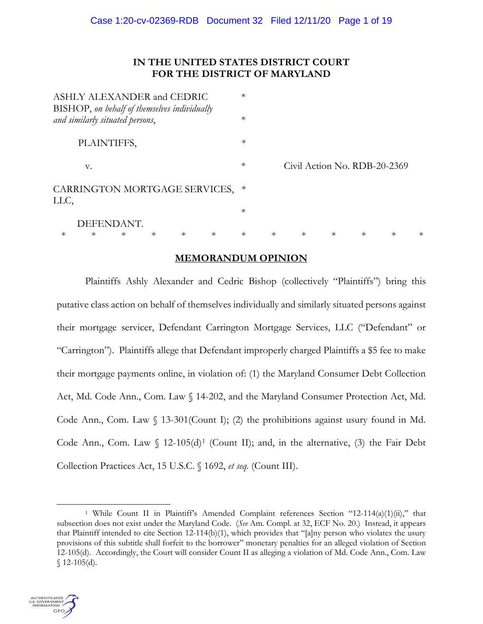# **IN THE UNITED STATES DISTRICT COURT FOR THE DISTRICT OF MARYLAND**

|                                       | ASHLY ALEXANDER and CEDRIC<br>BISHOP, on behalf of themselves individually |        |        |        | $\ast$ |        |        |        |                              |        |        |
|---------------------------------------|----------------------------------------------------------------------------|--------|--------|--------|--------|--------|--------|--------|------------------------------|--------|--------|
|                                       | and similarly situated persons,                                            |        |        |        | $\ast$ |        |        |        |                              |        |        |
|                                       | PLAINTIFFS,                                                                |        |        |        | $\ast$ |        |        |        |                              |        |        |
|                                       | V.                                                                         |        |        |        | $\ast$ |        |        |        | Civil Action No. RDB-20-2369 |        |        |
| CARRINGTON MORTGAGE SERVICES,<br>LLC, |                                                                            |        |        |        | ∗      |        |        |        |                              |        |        |
|                                       |                                                                            |        |        |        | $\ast$ |        |        |        |                              |        |        |
| $\ast$                                | DEFENDANT.<br>$\ast$<br>$\ast$                                             | $\ast$ | $\ast$ | $\ast$ | $\ast$ | $\ast$ | $\ast$ | $\ast$ | $\ast$                       | $\ast$ | $\ast$ |
|                                       |                                                                            |        |        |        |        |        |        |        |                              |        |        |

# **MEMORANDUM OPINION**

Plaintiffs Ashly Alexander and Cedric Bishop (collectively "Plaintiffs") bring this putative class action on behalf of themselves individually and similarly situated persons against their mortgage servicer, Defendant Carrington Mortgage Services, LLC ("Defendant" or "Carrington"). Plaintiffs allege that Defendant improperly charged Plaintiffs a \$5 fee to make their mortgage payments online, in violation of: (1) the Maryland Consumer Debt Collection Act, Md. Code Ann., Com. Law § 14-202, and the Maryland Consumer Protection Act, Md. Code Ann., Com. Law  $\langle$  13-301(Count I); (2) the prohibitions against usury found in Md. Code Ann., Com. Law  $\int$  [1](#page-0-0)2-105(d)<sup>1</sup> (Count II); and, in the alternative, (3) the Fair Debt Collection Practices Act, 15 U.S.C. § 1692, *et seq.* (Count III).

<span id="page-0-0"></span><sup>&</sup>lt;sup>1</sup> While Count II in Plaintiff's Amended Complaint references Section "12-114(a)(1)(ii)," that subsection does not exist under the Maryland Code. (*See* Am. Compl. at 32, ECF No. 20.) Instead, it appears that Plaintiff intended to cite Section 12-114(b)(1), which provides that "[a]ny person who violates the usury provisions of this subtitle shall forfeit to the borrower" monetary penalties for an alleged violation of Section 12-105(d). Accordingly, the Court will consider Count II as alleging a violation of Md. Code Ann., Com. Law  $$12-105(d).$ 

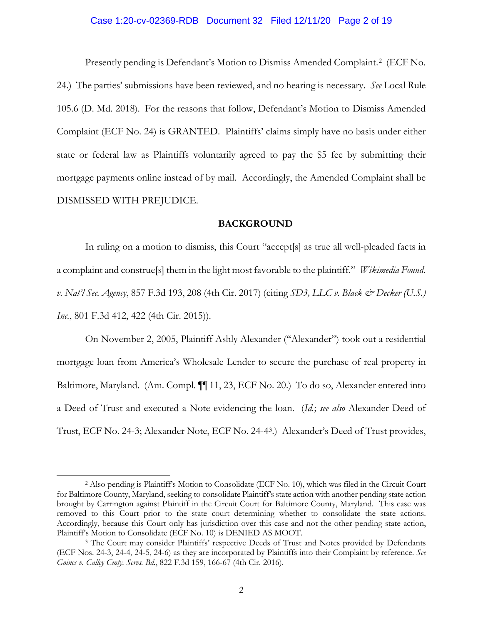# Case 1:20-cv-02369-RDB Document 32 Filed 12/11/20 Page 2 of 19

Presently pending is Defendant's Motion to Dismiss Amended Complaint.<sup>[2](#page-1-0)</sup> (ECF No. 24.) The parties' submissions have been reviewed, and no hearing is necessary. *See* Local Rule 105.6 (D. Md. 2018). For the reasons that follow, Defendant's Motion to Dismiss Amended Complaint (ECF No. 24) is GRANTED. Plaintiffs' claims simply have no basis under either state or federal law as Plaintiffs voluntarily agreed to pay the \$5 fee by submitting their mortgage payments online instead of by mail. Accordingly, the Amended Complaint shall be DISMISSED WITH PREJUDICE.

#### **BACKGROUND**

In ruling on a motion to dismiss, this Court "accept[s] as true all well-pleaded facts in a complaint and construe[s] them in the light most favorable to the plaintiff." *Wikimedia Found. v. Nat'l Sec. Agency*, 857 F.3d 193, 208 (4th Cir. 2017) (citing *SD3, LLC v. Black & Decker (U.S.) Inc.*, 801 F.3d 412, 422 (4th Cir. 2015)).

On November 2, 2005, Plaintiff Ashly Alexander ("Alexander") took out a residential mortgage loan from America's Wholesale Lender to secure the purchase of real property in Baltimore, Maryland. (Am. Compl. [1] 11, 23, ECF No. 20.) To do so, Alexander entered into a Deed of Trust and executed a Note evidencing the loan. (*Id.*; *see also* Alexander Deed of Trust, ECF No. 24-3; Alexander Note, ECF No. 24-4[3](#page-1-1).) Alexander's Deed of Trust provides,

<span id="page-1-0"></span><sup>2</sup> Also pending is Plaintiff's Motion to Consolidate (ECF No. 10), which was filed in the Circuit Court for Baltimore County, Maryland, seeking to consolidate Plaintiff's state action with another pending state action brought by Carrington against Plaintiff in the Circuit Court for Baltimore County, Maryland. This case was removed to this Court prior to the state court determining whether to consolidate the state actions. Accordingly, because this Court only has jurisdiction over this case and not the other pending state action, Plaintiff's Motion to Consolidate (ECF No. 10) is DENIED AS MOOT.

<span id="page-1-1"></span><sup>&</sup>lt;sup>3</sup> The Court may consider Plaintiffs' respective Deeds of Trust and Notes provided by Defendants (ECF Nos. 24-3, 24-4, 24-5, 24-6) as they are incorporated by Plaintiffs into their Complaint by reference. *See Goines v. Calley Cmty. Servs. Bd.*, 822 F.3d 159, 166-67 (4th Cir. 2016).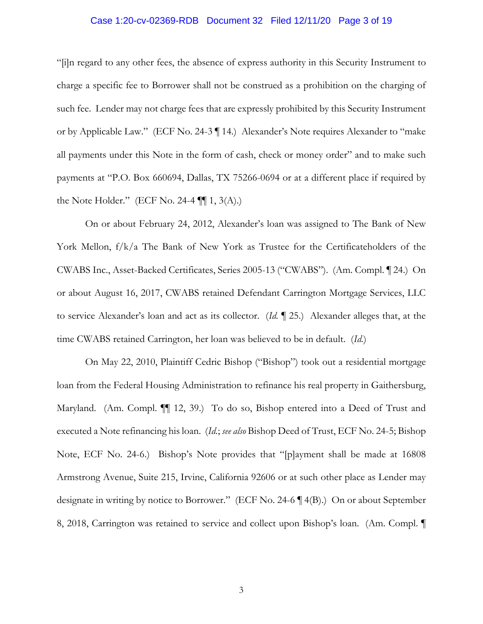# Case 1:20-cv-02369-RDB Document 32 Filed 12/11/20 Page 3 of 19

"[i]n regard to any other fees, the absence of express authority in this Security Instrument to charge a specific fee to Borrower shall not be construed as a prohibition on the charging of such fee. Lender may not charge fees that are expressly prohibited by this Security Instrument or by Applicable Law." (ECF No. 24-3 ¶ 14.) Alexander's Note requires Alexander to "make all payments under this Note in the form of cash, check or money order" and to make such payments at "P.O. Box 660694, Dallas, TX 75266-0694 or at a different place if required by the Note Holder." (ECF No. 24-4  $\P$  $[1, 3(A).]$ )

On or about February 24, 2012, Alexander's loan was assigned to The Bank of New York Mellon, f/k/a The Bank of New York as Trustee for the Certificateholders of the CWABS Inc., Asset-Backed Certificates, Series 2005-13 ("CWABS"). (Am. Compl. ¶ 24.) On or about August 16, 2017, CWABS retained Defendant Carrington Mortgage Services, LLC to service Alexander's loan and act as its collector. (*Id.* ¶ 25.) Alexander alleges that, at the time CWABS retained Carrington, her loan was believed to be in default. (*Id.*)

On May 22, 2010, Plaintiff Cedric Bishop ("Bishop") took out a residential mortgage loan from the Federal Housing Administration to refinance his real property in Gaithersburg, Maryland. (Am. Compl. ¶¶ 12, 39.) To do so, Bishop entered into a Deed of Trust and executed a Note refinancing his loan. (*Id.*; *see also* Bishop Deed of Trust, ECF No. 24-5; Bishop Note, ECF No. 24-6.) Bishop's Note provides that "[p]ayment shall be made at 16808 Armstrong Avenue, Suite 215, Irvine, California 92606 or at such other place as Lender may designate in writing by notice to Borrower." (ECF No. 24-6 ¶ 4(B).) On or about September 8, 2018, Carrington was retained to service and collect upon Bishop's loan. (Am. Compl. ¶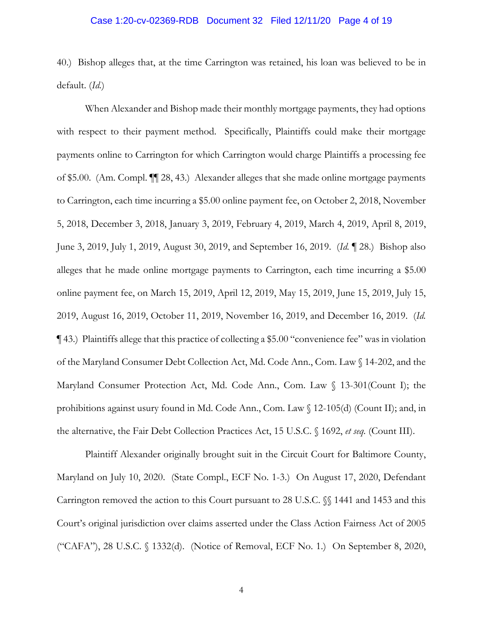### Case 1:20-cv-02369-RDB Document 32 Filed 12/11/20 Page 4 of 19

40.) Bishop alleges that, at the time Carrington was retained, his loan was believed to be in default. (*Id.*)

When Alexander and Bishop made their monthly mortgage payments, they had options with respect to their payment method. Specifically, Plaintiffs could make their mortgage payments online to Carrington for which Carrington would charge Plaintiffs a processing fee of \$5.00. (Am. Compl. ¶¶ 28, 43.) Alexander alleges that she made online mortgage payments to Carrington, each time incurring a \$5.00 online payment fee, on October 2, 2018, November 5, 2018, December 3, 2018, January 3, 2019, February 4, 2019, March 4, 2019, April 8, 2019, June 3, 2019, July 1, 2019, August 30, 2019, and September 16, 2019. (*Id.* ¶ 28.) Bishop also alleges that he made online mortgage payments to Carrington, each time incurring a \$5.00 online payment fee, on March 15, 2019, April 12, 2019, May 15, 2019, June 15, 2019, July 15, 2019, August 16, 2019, October 11, 2019, November 16, 2019, and December 16, 2019. (*Id.* ¶ 43.) Plaintiffs allege that this practice of collecting a \$5.00 "convenience fee" was in violation of the Maryland Consumer Debt Collection Act, Md. Code Ann., Com. Law § 14-202, and the Maryland Consumer Protection Act, Md. Code Ann., Com. Law § 13-301(Count I); the prohibitions against usury found in Md. Code Ann., Com. Law § 12-105(d) (Count II); and, in the alternative, the Fair Debt Collection Practices Act, 15 U.S.C. § 1692, *et seq.* (Count III).

Plaintiff Alexander originally brought suit in the Circuit Court for Baltimore County, Maryland on July 10, 2020. (State Compl., ECF No. 1-3.) On August 17, 2020, Defendant Carrington removed the action to this Court pursuant to 28 U.S.C. §§ 1441 and 1453 and this Court's original jurisdiction over claims asserted under the Class Action Fairness Act of 2005 ("CAFA"), 28 U.S.C. § 1332(d). (Notice of Removal, ECF No. 1.) On September 8, 2020,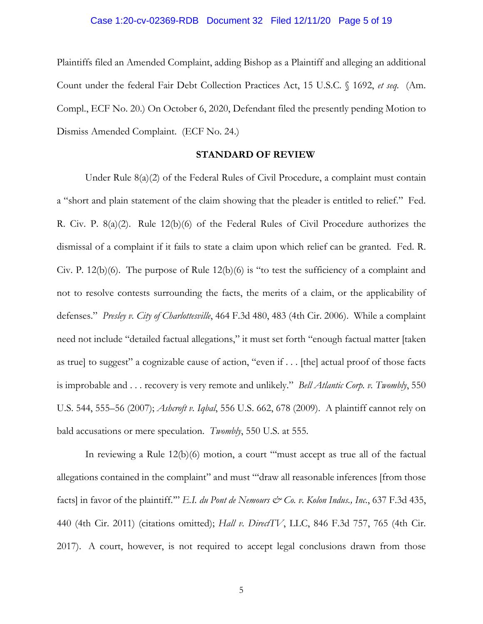### Case 1:20-cv-02369-RDB Document 32 Filed 12/11/20 Page 5 of 19

Plaintiffs filed an Amended Complaint, adding Bishop as a Plaintiff and alleging an additional Count under the federal Fair Debt Collection Practices Act, 15 U.S.C. § 1692, *et seq.* (Am. Compl., ECF No. 20.) On October 6, 2020, Defendant filed the presently pending Motion to Dismiss Amended Complaint. (ECF No. 24.)

### **STANDARD OF REVIEW**

Under Rule 8(a)(2) of the Federal Rules of Civil Procedure, a complaint must contain a "short and plain statement of the claim showing that the pleader is entitled to relief." Fed. R. Civ. P. 8(a)(2). Rule 12(b)(6) of the Federal Rules of Civil Procedure authorizes the dismissal of a complaint if it fails to state a claim upon which relief can be granted. Fed. R. Civ. P. 12(b)(6). The purpose of Rule 12(b)(6) is "to test the sufficiency of a complaint and not to resolve contests surrounding the facts, the merits of a claim, or the applicability of defenses." *Presley v. City of Charlottesville*, 464 F.3d 480, 483 (4th Cir. 2006). While a complaint need not include "detailed factual allegations," it must set forth "enough factual matter [taken as true] to suggest" a cognizable cause of action, "even if . . . [the] actual proof of those facts is improbable and . . . recovery is very remote and unlikely." *Bell Atlantic Corp. v. Twombly*, 550 U.S. 544, 555–56 (2007); *Ashcroft v. Iqbal*, 556 U.S. 662, 678 (2009). A plaintiff cannot rely on bald accusations or mere speculation. *Twombly*, 550 U.S. at 555.

In reviewing a Rule 12(b)(6) motion, a court "'must accept as true all of the factual allegations contained in the complaint" and must ""draw all reasonable inferences [from those facts] in favor of the plaintiff." *E.I. du Pont de Nemours & Co. v. Kolon Indus., Inc.*, 637 F.3d 435, 440 (4th Cir. 2011) (citations omitted); *Hall v. DirectTV*, LLC, 846 F.3d 757, 765 (4th Cir. 2017). A court, however, is not required to accept legal conclusions drawn from those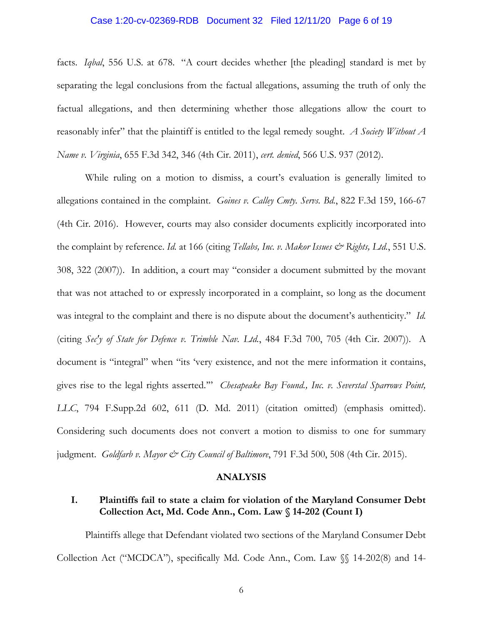# Case 1:20-cv-02369-RDB Document 32 Filed 12/11/20 Page 6 of 19

facts. *Iqbal*, 556 U.S. at 678. "A court decides whether [the pleading] standard is met by separating the legal conclusions from the factual allegations, assuming the truth of only the factual allegations, and then determining whether those allegations allow the court to reasonably infer" that the plaintiff is entitled to the legal remedy sought. *A Society Without A Name v. Virginia*, 655 F.3d 342, 346 (4th Cir. 2011), *cert. denied*, 566 U.S. 937 (2012).

While ruling on a motion to dismiss, a court's evaluation is generally limited to allegations contained in the complaint. *Goines v. Calley Cmty. Servs. Bd.*, 822 F.3d 159, 166-67 (4th Cir. 2016). However, courts may also consider documents explicitly incorporated into the complaint by reference. *Id.* at 166 (citing *Tellabs, Inc. v. Makor Issues & Rights, Ltd.*, 551 U.S. 308, 322 (2007)). In addition, a court may "consider a document submitted by the movant that was not attached to or expressly incorporated in a complaint, so long as the document was integral to the complaint and there is no dispute about the document's authenticity." *Id.* (citing *Sec'y of State for Defence v. Trimble Nav. Ltd.*, 484 F.3d 700, 705 (4th Cir. 2007)). A document is "integral" when "its 'very existence, and not the mere information it contains, gives rise to the legal rights asserted.'" *Chesapeake Bay Found., Inc. v. Severstal Sparrows Point, LLC*, 794 F.Supp.2d 602, 611 (D. Md. 2011) (citation omitted) (emphasis omitted). Considering such documents does not convert a motion to dismiss to one for summary judgment. *Goldfarb v. Mayor & City Council of Baltimore*, 791 F.3d 500, 508 (4th Cir. 2015).

#### **ANALYSIS**

# **I. Plaintiffs fail to state a claim for violation of the Maryland Consumer Debt Collection Act, Md. Code Ann., Com. Law § 14-202 (Count I)**

Plaintiffs allege that Defendant violated two sections of the Maryland Consumer Debt Collection Act ("MCDCA"), specifically Md. Code Ann., Com. Law §§ 14-202(8) and 14-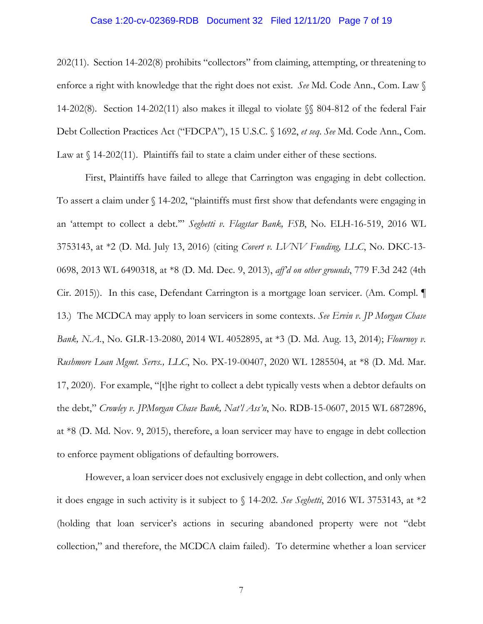### Case 1:20-cv-02369-RDB Document 32 Filed 12/11/20 Page 7 of 19

202(11). Section 14-202(8) prohibits "collectors" from claiming, attempting, or threatening to enforce a right with knowledge that the right does not exist. *See* Md. Code Ann., Com. Law § 14-202(8). Section 14-202(11) also makes it illegal to violate §§ 804-812 of the federal Fair Debt Collection Practices Act ("FDCPA"), 15 U.S.C. § 1692, *et seq*. *See* Md. Code Ann., Com. Law at  $\int$  14-202(11). Plaintiffs fail to state a claim under either of these sections.

First, Plaintiffs have failed to allege that Carrington was engaging in debt collection. To assert a claim under § 14-202, "plaintiffs must first show that defendants were engaging in an 'attempt to collect a debt.'" *Seghetti v. Flagstar Bank, FSB*, No. ELH-16-519, 2016 WL 3753143, at \*2 (D. Md. July 13, 2016) (citing *Covert v. LVNV Funding, LLC*, No. DKC-13- 0698, 2013 WL 6490318, at \*8 (D. Md. Dec. 9, 2013), *aff'd on other grounds*, 779 F.3d 242 (4th Cir. 2015)). In this case, Defendant Carrington is a mortgage loan servicer. (Am. Compl. ¶ 13.) The MCDCA may apply to loan servicers in some contexts. *See Ervin v. JP Morgan Chase Bank, N.A.*, No. GLR-13-2080, 2014 WL 4052895, at \*3 (D. Md. Aug. 13, 2014); *Flournoy v. Rushmore Loan Mgmt. Servs., LLC*, No. PX-19-00407, 2020 WL 1285504, at \*8 (D. Md. Mar. 17, 2020). For example, "[t]he right to collect a debt typically vests when a debtor defaults on the debt," *Crowley v. JPMorgan Chase Bank, Nat'l Ass'n*, No. RDB-15-0607, 2015 WL 6872896, at \*8 (D. Md. Nov. 9, 2015), therefore, a loan servicer may have to engage in debt collection to enforce payment obligations of defaulting borrowers.

However, a loan servicer does not exclusively engage in debt collection, and only when it does engage in such activity is it subject to § 14-202. *See Seghetti*, 2016 WL 3753143, at \*2 (holding that loan servicer's actions in securing abandoned property were not "debt collection," and therefore, the MCDCA claim failed). To determine whether a loan servicer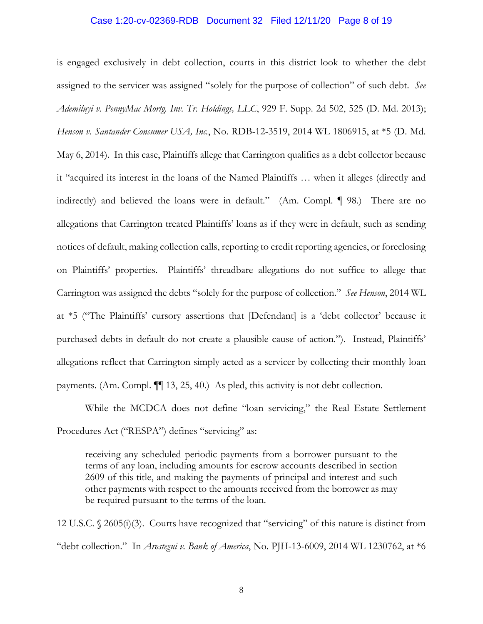### Case 1:20-cv-02369-RDB Document 32 Filed 12/11/20 Page 8 of 19

is engaged exclusively in debt collection, courts in this district look to whether the debt assigned to the servicer was assigned "solely for the purpose of collection" of such debt. *See Ademiluyi v. PennyMac Mortg. Inv. Tr. Holdings, LLC*, 929 F. Supp. 2d 502, 525 (D. Md. 2013); *Henson v. Santander Consumer USA, Inc.*, No. RDB-12-3519, 2014 WL 1806915, at \*5 (D. Md. May 6, 2014). In this case, Plaintiffs allege that Carrington qualifies as a debt collector because it "acquired its interest in the loans of the Named Plaintiffs … when it alleges (directly and indirectly) and believed the loans were in default." (Am. Compl. ¶ 98.) There are no allegations that Carrington treated Plaintiffs' loans as if they were in default, such as sending notices of default, making collection calls, reporting to credit reporting agencies, or foreclosing on Plaintiffs' properties. Plaintiffs' threadbare allegations do not suffice to allege that Carrington was assigned the debts "solely for the purpose of collection." *See Henson*, 2014 WL at \*5 ("The Plaintiffs' cursory assertions that [Defendant] is a 'debt collector' because it purchased debts in default do not create a plausible cause of action."). Instead, Plaintiffs' allegations reflect that Carrington simply acted as a servicer by collecting their monthly loan payments. (Am. Compl. ¶¶ 13, 25, 40.) As pled, this activity is not debt collection.

While the MCDCA does not define "loan servicing," the Real Estate Settlement Procedures Act ("RESPA") defines "servicing" as:

receiving any scheduled periodic payments from a borrower pursuant to the terms of any loan, including amounts for escrow accounts described in section 2609 of this title, and making the payments of principal and interest and such other payments with respect to the amounts received from the borrower as may be required pursuant to the terms of the loan.

12 U.S.C. § 2605(i)(3). Courts have recognized that "servicing" of this nature is distinct from "debt collection." In *Arostegui v. Bank of America*, No. PJH-13-6009, 2014 WL 1230762, at \*6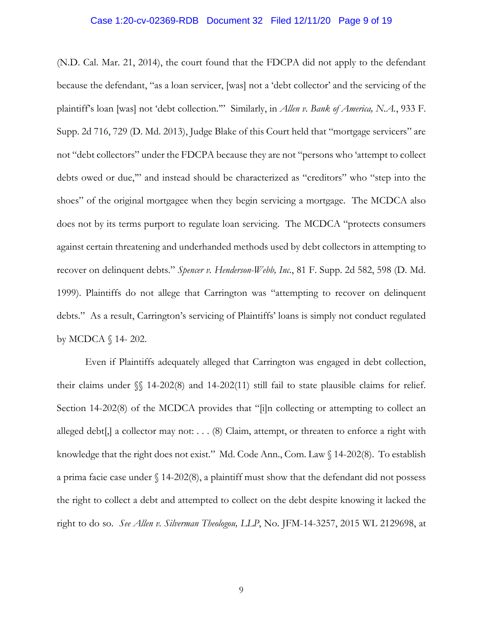### Case 1:20-cv-02369-RDB Document 32 Filed 12/11/20 Page 9 of 19

(N.D. Cal. Mar. 21, 2014), the court found that the FDCPA did not apply to the defendant because the defendant, "as a loan servicer, [was] not a 'debt collector' and the servicing of the plaintiff's loan [was] not 'debt collection."" Similarly, in *Allen v. Bank of America, N.A.*, 933 F. Supp. 2d 716, 729 (D. Md. 2013), Judge Blake of this Court held that "mortgage servicers" are not "debt collectors" under the FDCPA because they are not "persons who 'attempt to collect debts owed or due,'" and instead should be characterized as "creditors" who "step into the shoes" of the original mortgagee when they begin servicing a mortgage. The MCDCA also does not by its terms purport to regulate loan servicing. The MCDCA "protects consumers against certain threatening and underhanded methods used by debt collectors in attempting to recover on delinquent debts." *Spencer v. Henderson-Webb, Inc.*, 81 F. Supp. 2d 582, 598 (D. Md. 1999). Plaintiffs do not allege that Carrington was "attempting to recover on delinquent debts." As a result, Carrington's servicing of Plaintiffs' loans is simply not conduct regulated by MCDCA § 14- 202.

Even if Plaintiffs adequately alleged that Carrington was engaged in debt collection, their claims under §§ 14-202(8) and 14-202(11) still fail to state plausible claims for relief. Section 14-202(8) of the MCDCA provides that "[i]n collecting or attempting to collect an alleged debt[,] a collector may not:  $\ldots$  (8) Claim, attempt, or threaten to enforce a right with knowledge that the right does not exist." Md. Code Ann., Com. Law § 14-202(8). To establish a prima facie case under § 14-202(8), a plaintiff must show that the defendant did not possess the right to collect a debt and attempted to collect on the debt despite knowing it lacked the right to do so. *See Allen v. Silverman Theologou, LLP*, No. JFM-14-3257, 2015 WL 2129698, at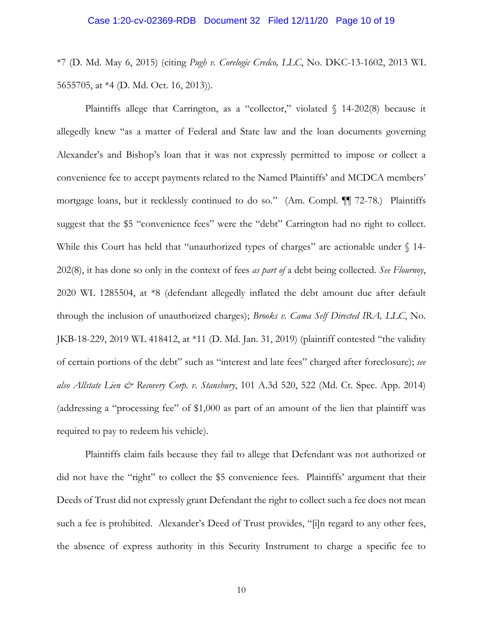### Case 1:20-cv-02369-RDB Document 32 Filed 12/11/20 Page 10 of 19

\*7 (D. Md. May 6, 2015) (citing *Pugh v. Corelogic Credco, LLC*, No. DKC-13-1602, 2013 WL 5655705, at \*4 (D. Md. Oct. 16, 2013)).

Plaintiffs allege that Carrington, as a "collector," violated  $\int$  14-202(8) because it allegedly knew "as a matter of Federal and State law and the loan documents governing Alexander's and Bishop's loan that it was not expressly permitted to impose or collect a convenience fee to accept payments related to the Named Plaintiffs' and MCDCA members' mortgage loans, but it recklessly continued to do so." (Am. Compl. ¶¶ 72-78.) Plaintiffs suggest that the \$5 "convenience fees" were the "debt" Carrington had no right to collect. While this Court has held that "unauthorized types of charges" are actionable under  $\S$  14-202(8), it has done so only in the context of fees *as part of* a debt being collected. *See Flournoy*, 2020 WL 1285504, at \*8 (defendant allegedly inflated the debt amount due after default through the inclusion of unauthorized charges); *Brooks v. Cama Self Directed IRA, LLC*, No. JKB-18-229, 2019 WL 418412, at \*11 (D. Md. Jan. 31, 2019) (plaintiff contested "the validity of certain portions of the debt" such as "interest and late fees" charged after foreclosure); *see also Allstate Lien & Recovery Corp. v. Stansbury*, 101 A.3d 520, 522 (Md. Ct. Spec. App. 2014) (addressing a "processing fee" of \$1,000 as part of an amount of the lien that plaintiff was required to pay to redeem his vehicle).

Plaintiffs claim fails because they fail to allege that Defendant was not authorized or did not have the "right" to collect the \$5 convenience fees. Plaintiffs' argument that their Deeds of Trust did not expressly grant Defendant the right to collect such a fee does not mean such a fee is prohibited. Alexander's Deed of Trust provides, "[i]n regard to any other fees, the absence of express authority in this Security Instrument to charge a specific fee to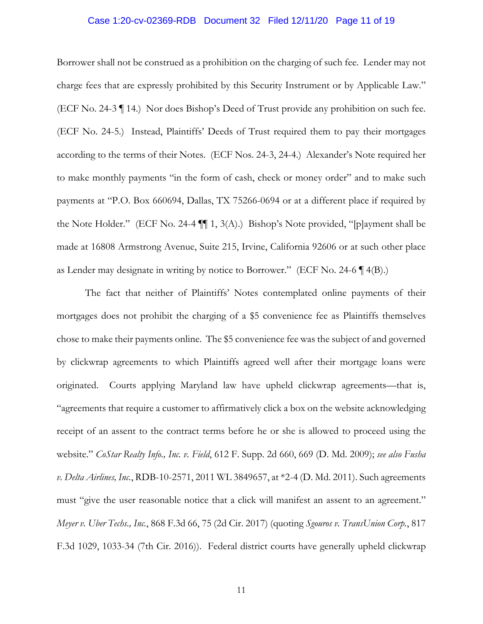# Case 1:20-cv-02369-RDB Document 32 Filed 12/11/20 Page 11 of 19

Borrower shall not be construed as a prohibition on the charging of such fee. Lender may not charge fees that are expressly prohibited by this Security Instrument or by Applicable Law." (ECF No. 24-3 ¶ 14.) Nor does Bishop's Deed of Trust provide any prohibition on such fee. (ECF No. 24-5.) Instead, Plaintiffs' Deeds of Trust required them to pay their mortgages according to the terms of their Notes. (ECF Nos. 24-3, 24-4.) Alexander's Note required her to make monthly payments "in the form of cash, check or money order" and to make such payments at "P.O. Box 660694, Dallas, TX 75266-0694 or at a different place if required by the Note Holder." (ECF No. 24-4 ¶¶ 1, 3(A).) Bishop's Note provided, "[p]ayment shall be made at 16808 Armstrong Avenue, Suite 215, Irvine, California 92606 or at such other place as Lender may designate in writing by notice to Borrower." (ECF No. 24-6  $\P$  4(B).)

The fact that neither of Plaintiffs' Notes contemplated online payments of their mortgages does not prohibit the charging of a \$5 convenience fee as Plaintiffs themselves chose to make their payments online. The \$5 convenience fee was the subject of and governed by clickwrap agreements to which Plaintiffs agreed well after their mortgage loans were originated. Courts applying Maryland law have upheld clickwrap agreements—that is, "agreements that require a customer to affirmatively click a box on the website acknowledging receipt of an assent to the contract terms before he or she is allowed to proceed using the website." *CoStar Realty Info., Inc. v. Field*, 612 F. Supp. 2d 660, 669 (D. Md. 2009); *see also Fusha v. Delta Airlines, Inc.*, RDB-10-2571, 2011 WL 3849657, at \*2-4 (D. Md. 2011). Such agreements must "give the user reasonable notice that a click will manifest an assent to an agreement." *Meyer v. Uber Techs., Inc.*, 868 F.3d 66, 75 (2d Cir. 2017) (quoting *Sgouros v. TransUnion Corp.*, 817 F.3d 1029, 1033-34 (7th Cir. 2016)). Federal district courts have generally upheld clickwrap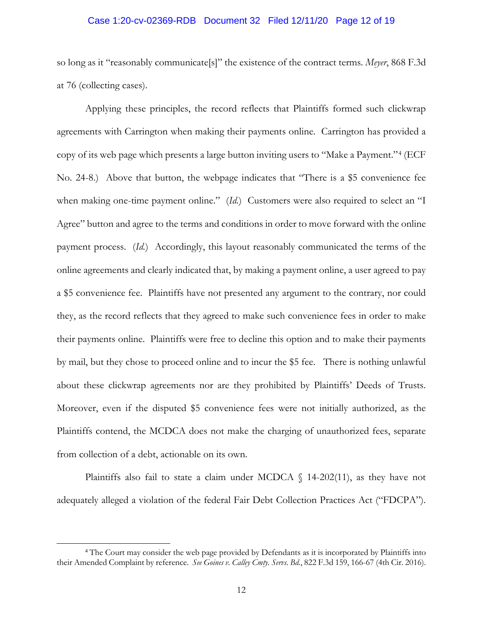# Case 1:20-cv-02369-RDB Document 32 Filed 12/11/20 Page 12 of 19

so long as it "reasonably communicate[s]" the existence of the contract terms. *Meyer*, 868 F.3d at 76 (collecting cases).

Applying these principles, the record reflects that Plaintiffs formed such clickwrap agreements with Carrington when making their payments online. Carrington has provided a copy of its web page which presents a large button inviting users to "Make a Payment."[4](#page-11-0) (ECF No. 24-8.) Above that button, the webpage indicates that "There is a \$5 convenience fee when making one-time payment online." (*Id.*) Customers were also required to select an "I Agree" button and agree to the terms and conditions in order to move forward with the online payment process. (*Id.*) Accordingly, this layout reasonably communicated the terms of the online agreements and clearly indicated that, by making a payment online, a user agreed to pay a \$5 convenience fee. Plaintiffs have not presented any argument to the contrary, nor could they, as the record reflects that they agreed to make such convenience fees in order to make their payments online. Plaintiffs were free to decline this option and to make their payments by mail, but they chose to proceed online and to incur the \$5 fee. There is nothing unlawful about these clickwrap agreements nor are they prohibited by Plaintiffs' Deeds of Trusts. Moreover, even if the disputed \$5 convenience fees were not initially authorized, as the Plaintiffs contend, the MCDCA does not make the charging of unauthorized fees, separate from collection of a debt, actionable on its own.

Plaintiffs also fail to state a claim under MCDCA  $\S$  14-202(11), as they have not adequately alleged a violation of the federal Fair Debt Collection Practices Act ("FDCPA").

<span id="page-11-0"></span><sup>4</sup> The Court may consider the web page provided by Defendants as it is incorporated by Plaintiffs into their Amended Complaint by reference. *See Goines v. Calley Cmty. Servs. Bd.*, 822 F.3d 159, 166-67 (4th Cir. 2016).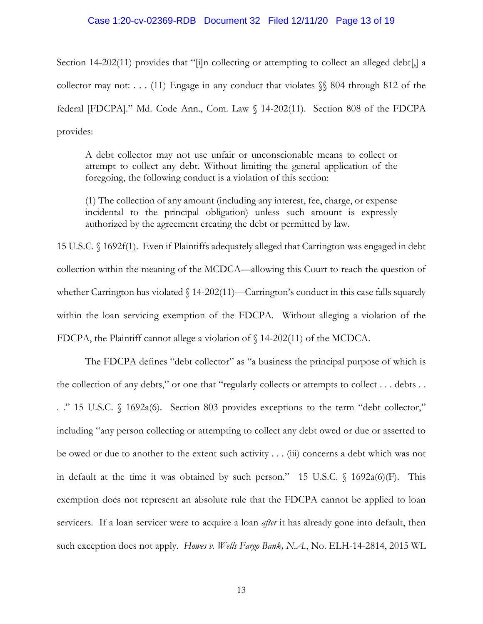# Case 1:20-cv-02369-RDB Document 32 Filed 12/11/20 Page 13 of 19

Section 14-202(11) provides that "[i]n collecting or attempting to collect an alleged debt[,] a collector may not: . . . (11) Engage in any conduct that violates §§ 804 through 812 of the federal [FDCPA]." Md. Code Ann., Com. Law § 14-202(11). Section 808 of the FDCPA provides:

A debt collector may not use unfair or unconscionable means to collect or attempt to collect any debt. Without limiting the general application of the foregoing, the following conduct is a violation of this section:

(1) The collection of any amount (including any interest, fee, charge, or expense incidental to the principal obligation) unless such amount is expressly authorized by the agreement creating the debt or permitted by law.

15 U.S.C. § 1692f(1). Even if Plaintiffs adequately alleged that Carrington was engaged in debt collection within the meaning of the MCDCA—allowing this Court to reach the question of whether Carrington has violated  $\sqrt{14-202(11)}$ —Carrington's conduct in this case falls squarely within the loan servicing exemption of the FDCPA. Without alleging a violation of the FDCPA, the Plaintiff cannot allege a violation of § 14-202(11) of the MCDCA.

The FDCPA defines "debt collector" as "a business the principal purpose of which is the collection of any debts," or one that "regularly collects or attempts to collect . . . debts . . . ." 15 U.S.C. § 1692a(6). Section 803 provides exceptions to the term "debt collector," including "any person collecting or attempting to collect any debt owed or due or asserted to be owed or due to another to the extent such activity . . . (iii) concerns a debt which was not in default at the time it was obtained by such person." 15 U.S.C.  $\int$  1692a(6)(F). This exemption does not represent an absolute rule that the FDCPA cannot be applied to loan servicers. If a loan servicer were to acquire a loan *after* it has already gone into default, then such exception does not apply. *Howes v. Wells Fargo Bank, N.A.*, No. ELH-14-2814, 2015 WL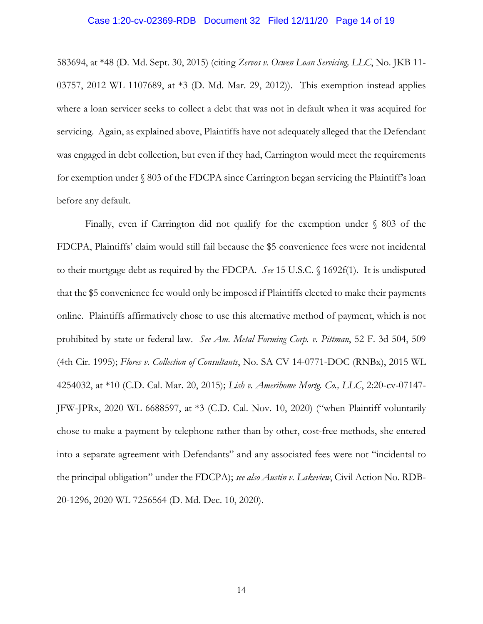### Case 1:20-cv-02369-RDB Document 32 Filed 12/11/20 Page 14 of 19

583694, at \*48 (D. Md. Sept. 30, 2015) (citing *Zervos v. Ocwen Loan Servicing, LLC*, No. JKB 11- 03757, 2012 WL 1107689, at \*3 (D. Md. Mar. 29, 2012)). This exemption instead applies where a loan servicer seeks to collect a debt that was not in default when it was acquired for servicing. Again, as explained above, Plaintiffs have not adequately alleged that the Defendant was engaged in debt collection, but even if they had, Carrington would meet the requirements for exemption under § 803 of the FDCPA since Carrington began servicing the Plaintiff's loan before any default.

Finally, even if Carrington did not qualify for the exemption under  $\S$  803 of the FDCPA, Plaintiffs' claim would still fail because the \$5 convenience fees were not incidental to their mortgage debt as required by the FDCPA. *See* 15 U.S.C. § 1692f(1). It is undisputed that the \$5 convenience fee would only be imposed if Plaintiffs elected to make their payments online. Plaintiffs affirmatively chose to use this alternative method of payment, which is not prohibited by state or federal law. *See Am. Metal Forming Corp. v. Pittman*, 52 F. 3d 504, 509 (4th Cir. 1995); *Flores v. Collection of Consultants*, No. SA CV 14-0771-DOC (RNBx), 2015 WL 4254032, at \*10 (C.D. Cal. Mar. 20, 2015); *Lish v. Amerihome Mortg. Co., LLC*, 2:20-cv-07147- JFW-JPRx, 2020 WL 6688597, at \*3 (C.D. Cal. Nov. 10, 2020) ("when Plaintiff voluntarily chose to make a payment by telephone rather than by other, cost-free methods, she entered into a separate agreement with Defendants" and any associated fees were not "incidental to the principal obligation" under the FDCPA); *see also Austin v. Lakeview*, Civil Action No. RDB-20-1296, 2020 WL 7256564 (D. Md. Dec. 10, 2020).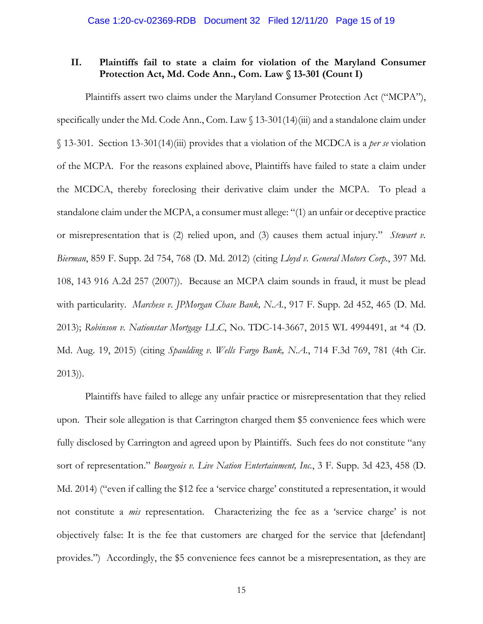# **II. Plaintiffs fail to state a claim for violation of the Maryland Consumer Protection Act, Md. Code Ann., Com. Law § 13-301 (Count I)**

Plaintiffs assert two claims under the Maryland Consumer Protection Act ("MCPA"), specifically under the Md. Code Ann., Com. Law § 13-301(14)(iii) and a standalone claim under § 13-301. Section 13-301(14)(iii) provides that a violation of the MCDCA is a *per se* violation of the MCPA. For the reasons explained above, Plaintiffs have failed to state a claim under the MCDCA, thereby foreclosing their derivative claim under the MCPA. To plead a standalone claim under the MCPA, a consumer must allege: "(1) an unfair or deceptive practice or misrepresentation that is (2) relied upon, and (3) causes them actual injury." *Stewart v. Bierman*, 859 F. Supp. 2d 754, 768 (D. Md. 2012) (citing *Lloyd v. General Motors Corp.*, 397 Md. 108, 143 916 A.2d 257 (2007)). Because an MCPA claim sounds in fraud, it must be plead with particularity. *Marchese v. JPMorgan Chase Bank, N.A.*, 917 F. Supp. 2d 452, 465 (D. Md. 2013); *Robinson v. Nationstar Mortgage LLC*, No. TDC-14-3667, 2015 WL 4994491, at \*4 (D. Md. Aug. 19, 2015) (citing *Spaulding v. Wells Fargo Bank, N.A.*, 714 F.3d 769, 781 (4th Cir. 2013)).

Plaintiffs have failed to allege any unfair practice or misrepresentation that they relied upon. Their sole allegation is that Carrington charged them \$5 convenience fees which were fully disclosed by Carrington and agreed upon by Plaintiffs. Such fees do not constitute "any sort of representation." *Bourgeois v. Live Nation Entertainment, Inc.*, 3 F. Supp. 3d 423, 458 (D. Md. 2014) ("even if calling the \$12 fee a 'service charge' constituted a representation, it would not constitute a *mis* representation. Characterizing the fee as a 'service charge' is not objectively false: It is the fee that customers are charged for the service that [defendant] provides.") Accordingly, the \$5 convenience fees cannot be a misrepresentation, as they are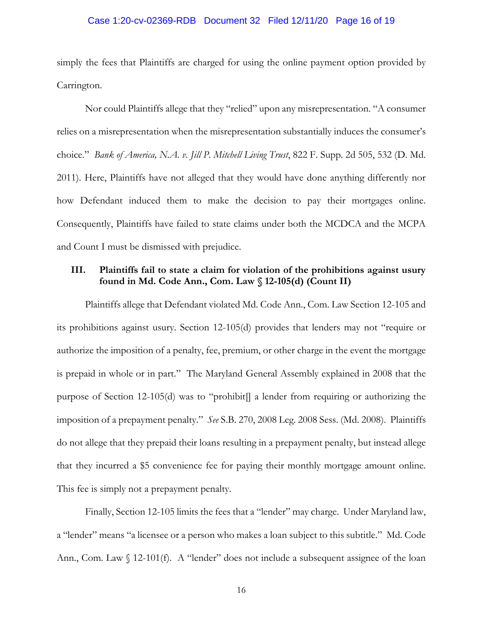# Case 1:20-cv-02369-RDB Document 32 Filed 12/11/20 Page 16 of 19

simply the fees that Plaintiffs are charged for using the online payment option provided by Carrington.

Nor could Plaintiffs allege that they "relied" upon any misrepresentation. "A consumer relies on a misrepresentation when the misrepresentation substantially induces the consumer's choice." *Bank of America, N.A. v. Jill P. Mitchell Living Trust*, 822 F. Supp. 2d 505, 532 (D. Md. 2011). Here, Plaintiffs have not alleged that they would have done anything differently nor how Defendant induced them to make the decision to pay their mortgages online. Consequently, Plaintiffs have failed to state claims under both the MCDCA and the MCPA and Count I must be dismissed with prejudice.

# **III. Plaintiffs fail to state a claim for violation of the prohibitions against usury found in Md. Code Ann., Com. Law § 12-105(d) (Count II)**

Plaintiffs allege that Defendant violated Md. Code Ann., Com. Law Section 12-105 and its prohibitions against usury. Section 12-105(d) provides that lenders may not "require or authorize the imposition of a penalty, fee, premium, or other charge in the event the mortgage is prepaid in whole or in part." The Maryland General Assembly explained in 2008 that the purpose of Section 12-105(d) was to "prohibit[] a lender from requiring or authorizing the imposition of a prepayment penalty." *See* S.B. 270, 2008 Leg. 2008 Sess. (Md. 2008). Plaintiffs do not allege that they prepaid their loans resulting in a prepayment penalty, but instead allege that they incurred a \$5 convenience fee for paying their monthly mortgage amount online. This fee is simply not a prepayment penalty.

Finally, Section 12-105 limits the fees that a "lender" may charge. Under Maryland law, a "lender" means "a licensee or a person who makes a loan subject to this subtitle." Md. Code Ann., Com. Law § 12-101(f). A "lender" does not include a subsequent assignee of the loan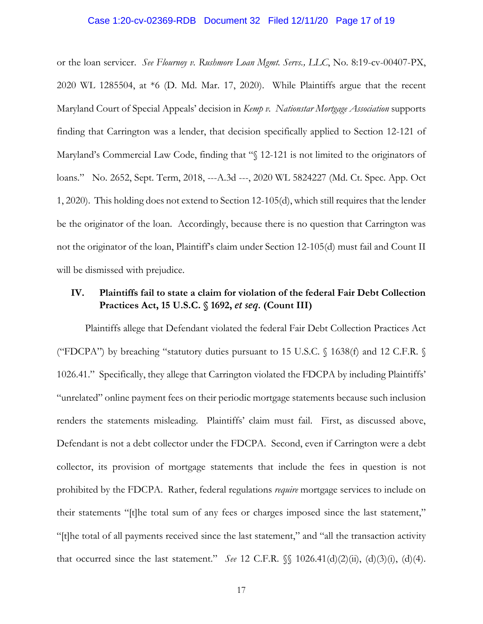### Case 1:20-cv-02369-RDB Document 32 Filed 12/11/20 Page 17 of 19

or the loan servicer. *See Flournoy v. Rushmore Loan Mgmt. Servs., LLC*, No. 8:19-cv-00407-PX, 2020 WL 1285504, at \*6 (D. Md. Mar. 17, 2020). While Plaintiffs argue that the recent Maryland Court of Special Appeals' decision in *Kemp v. Nationstar Mortgage Association* supports finding that Carrington was a lender, that decision specifically applied to Section 12-121 of Maryland's Commercial Law Code, finding that "§ 12-121 is not limited to the originators of loans." No. 2652, Sept. Term, 2018, ---A.3d ---, 2020 WL 5824227 (Md. Ct. Spec. App. Oct 1, 2020). This holding does not extend to Section 12-105(d), which still requires that the lender be the originator of the loan. Accordingly, because there is no question that Carrington was not the originator of the loan, Plaintiff's claim under Section 12-105(d) must fail and Count II will be dismissed with prejudice.

# **IV. Plaintiffs fail to state a claim for violation of the federal Fair Debt Collection Practices Act, 15 U.S.C. § 1692,** *et seq.* **(Count III)**

Plaintiffs allege that Defendant violated the federal Fair Debt Collection Practices Act ("FDCPA") by breaching "statutory duties pursuant to 15 U.S.C.  $\S$  1638(f) and 12 C.F.R.  $\S$ 1026.41." Specifically, they allege that Carrington violated the FDCPA by including Plaintiffs' "unrelated" online payment fees on their periodic mortgage statements because such inclusion renders the statements misleading. Plaintiffs' claim must fail. First, as discussed above, Defendant is not a debt collector under the FDCPA. Second, even if Carrington were a debt collector, its provision of mortgage statements that include the fees in question is not prohibited by the FDCPA. Rather, federal regulations *require* mortgage services to include on their statements "[t]he total sum of any fees or charges imposed since the last statement," "[t]he total of all payments received since the last statement," and "all the transaction activity that occurred since the last statement." *See* 12 C.F.R. §§ 1026.41(d)(2)(ii), (d)(3)(i), (d)(4).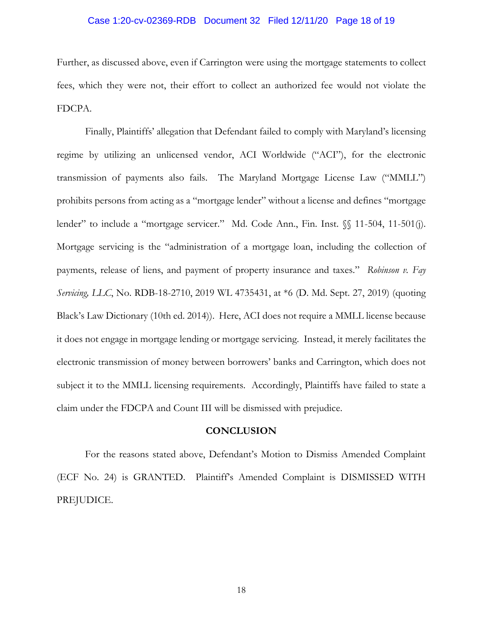# Case 1:20-cv-02369-RDB Document 32 Filed 12/11/20 Page 18 of 19

Further, as discussed above, even if Carrington were using the mortgage statements to collect fees, which they were not, their effort to collect an authorized fee would not violate the FDCPA.

Finally, Plaintiffs' allegation that Defendant failed to comply with Maryland's licensing regime by utilizing an unlicensed vendor, ACI Worldwide ("ACI"), for the electronic transmission of payments also fails. The Maryland Mortgage License Law ("MMLL") prohibits persons from acting as a "mortgage lender" without a license and defines "mortgage lender" to include a "mortgage servicer." Md. Code Ann., Fin. Inst. §§ 11-504, 11-501(j). Mortgage servicing is the "administration of a mortgage loan, including the collection of payments, release of liens, and payment of property insurance and taxes." *Robinson v. Fay Servicing, LLC*, No. RDB-18-2710, 2019 WL 4735431, at \*6 (D. Md. Sept. 27, 2019) (quoting Black's Law Dictionary (10th ed. 2014)). Here, ACI does not require a MMLL license because it does not engage in mortgage lending or mortgage servicing. Instead, it merely facilitates the electronic transmission of money between borrowers' banks and Carrington, which does not subject it to the MMLL licensing requirements. Accordingly, Plaintiffs have failed to state a claim under the FDCPA and Count III will be dismissed with prejudice.

# **CONCLUSION**

For the reasons stated above, Defendant's Motion to Dismiss Amended Complaint (ECF No. 24) is GRANTED. Plaintiff's Amended Complaint is DISMISSED WITH PREJUDICE.